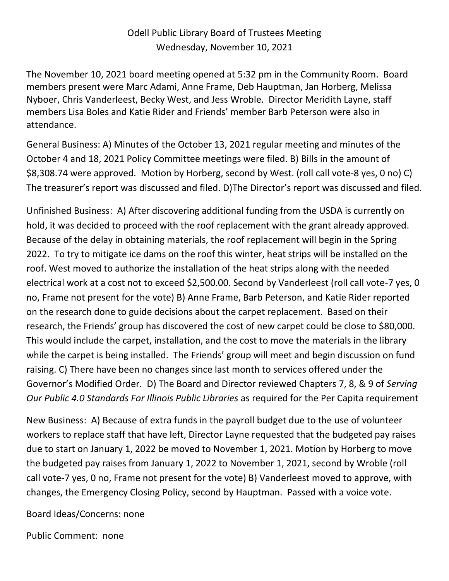## Odell Public Library Board of Trustees Meeting Wednesday, November 10, 2021

The November 10, 2021 board meeting opened at 5:32 pm in the Community Room. Board members present were Marc Adami, Anne Frame, Deb Hauptman, Jan Horberg, Melissa Nyboer, Chris Vanderleest, Becky West, and Jess Wroble. Director Meridith Layne, staff members Lisa Boles and Katie Rider and Friends' member Barb Peterson were also in attendance.

General Business: A) Minutes of the October 13, 2021 regular meeting and minutes of the October 4 and 18, 2021 Policy Committee meetings were filed. B) Bills in the amount of \$8,308.74 were approved. Motion by Horberg, second by West. (roll call vote-8 yes, 0 no) C) The treasurer's report was discussed and filed. D)The Director's report was discussed and filed.

Unfinished Business: A) After discovering additional funding from the USDA is currently on hold, it was decided to proceed with the roof replacement with the grant already approved. Because of the delay in obtaining materials, the roof replacement will begin in the Spring 2022. To try to mitigate ice dams on the roof this winter, heat strips will be installed on the roof. West moved to authorize the installation of the heat strips along with the needed electrical work at a cost not to exceed \$2,500.00. Second by Vanderleest (roll call vote-7 yes, 0 no, Frame not present for the vote) B) Anne Frame, Barb Peterson, and Katie Rider reported on the research done to guide decisions about the carpet replacement. Based on their research, the Friends' group has discovered the cost of new carpet could be close to \$80,000. This would include the carpet, installation, and the cost to move the materials in the library while the carpet is being installed. The Friends' group will meet and begin discussion on fund raising. C) There have been no changes since last month to services offered under the Governor's Modified Order. D) The Board and Director reviewed Chapters 7, 8, & 9 of *Serving Our Public 4.0 Standards For Illinois Public Libraries* as required for the Per Capita requirement

New Business: A) Because of extra funds in the payroll budget due to the use of volunteer workers to replace staff that have left, Director Layne requested that the budgeted pay raises due to start on January 1, 2022 be moved to November 1, 2021. Motion by Horberg to move the budgeted pay raises from January 1, 2022 to November 1, 2021, second by Wroble (roll call vote-7 yes, 0 no, Frame not present for the vote) B) Vanderleest moved to approve, with changes, the Emergency Closing Policy, second by Hauptman. Passed with a voice vote.

Board Ideas/Concerns: none

Public Comment: none